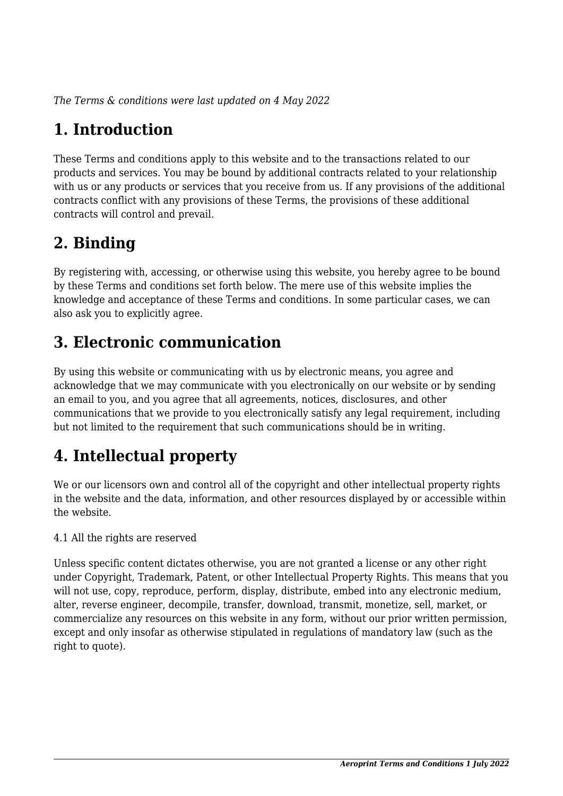*The Terms & conditions were last updated on 4 May 2022*

# **1. Introduction**

These Terms and conditions apply to this website and to the transactions related to our products and services. You may be bound by additional contracts related to your relationship with us or any products or services that you receive from us. If any provisions of the additional contracts conflict with any provisions of these Terms, the provisions of these additional contracts will control and prevail.

# **2. Binding**

By registering with, accessing, or otherwise using this website, you hereby agree to be bound by these Terms and conditions set forth below. The mere use of this website implies the knowledge and acceptance of these Terms and conditions. In some particular cases, we can also ask you to explicitly agree.

# **3. Electronic communication**

By using this website or communicating with us by electronic means, you agree and acknowledge that we may communicate with you electronically on our website or by sending an email to you, and you agree that all agreements, notices, disclosures, and other communications that we provide to you electronically satisfy any legal requirement, including but not limited to the requirement that such communications should be in writing.

# **4. Intellectual property**

We or our licensors own and control all of the copyright and other intellectual property rights in the website and the data, information, and other resources displayed by or accessible within the website.

4.1 All the rights are reserved

Unless specific content dictates otherwise, you are not granted a license or any other right under Copyright, Trademark, Patent, or other Intellectual Property Rights. This means that you will not use, copy, reproduce, perform, display, distribute, embed into any electronic medium, alter, reverse engineer, decompile, transfer, download, transmit, monetize, sell, market, or commercialize any resources on this website in any form, without our prior written permission, except and only insofar as otherwise stipulated in regulations of mandatory law (such as the right to quote).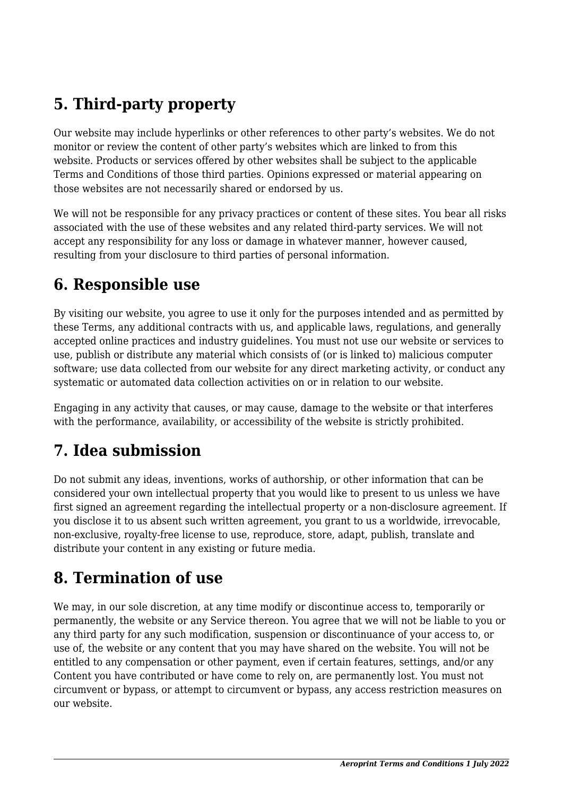# **5. Third-party property**

Our website may include hyperlinks or other references to other party's websites. We do not monitor or review the content of other party's websites which are linked to from this website. Products or services offered by other websites shall be subject to the applicable Terms and Conditions of those third parties. Opinions expressed or material appearing on those websites are not necessarily shared or endorsed by us.

We will not be responsible for any privacy practices or content of these sites. You bear all risks associated with the use of these websites and any related third-party services. We will not accept any responsibility for any loss or damage in whatever manner, however caused, resulting from your disclosure to third parties of personal information.

#### **6. Responsible use**

By visiting our website, you agree to use it only for the purposes intended and as permitted by these Terms, any additional contracts with us, and applicable laws, regulations, and generally accepted online practices and industry guidelines. You must not use our website or services to use, publish or distribute any material which consists of (or is linked to) malicious computer software; use data collected from our website for any direct marketing activity, or conduct any systematic or automated data collection activities on or in relation to our website.

Engaging in any activity that causes, or may cause, damage to the website or that interferes with the performance, availability, or accessibility of the website is strictly prohibited.

## **7. Idea submission**

Do not submit any ideas, inventions, works of authorship, or other information that can be considered your own intellectual property that you would like to present to us unless we have first signed an agreement regarding the intellectual property or a non-disclosure agreement. If you disclose it to us absent such written agreement, you grant to us a worldwide, irrevocable, non-exclusive, royalty-free license to use, reproduce, store, adapt, publish, translate and distribute your content in any existing or future media.

## **8. Termination of use**

We may, in our sole discretion, at any time modify or discontinue access to, temporarily or permanently, the website or any Service thereon. You agree that we will not be liable to you or any third party for any such modification, suspension or discontinuance of your access to, or use of, the website or any content that you may have shared on the website. You will not be entitled to any compensation or other payment, even if certain features, settings, and/or any Content you have contributed or have come to rely on, are permanently lost. You must not circumvent or bypass, or attempt to circumvent or bypass, any access restriction measures on our website.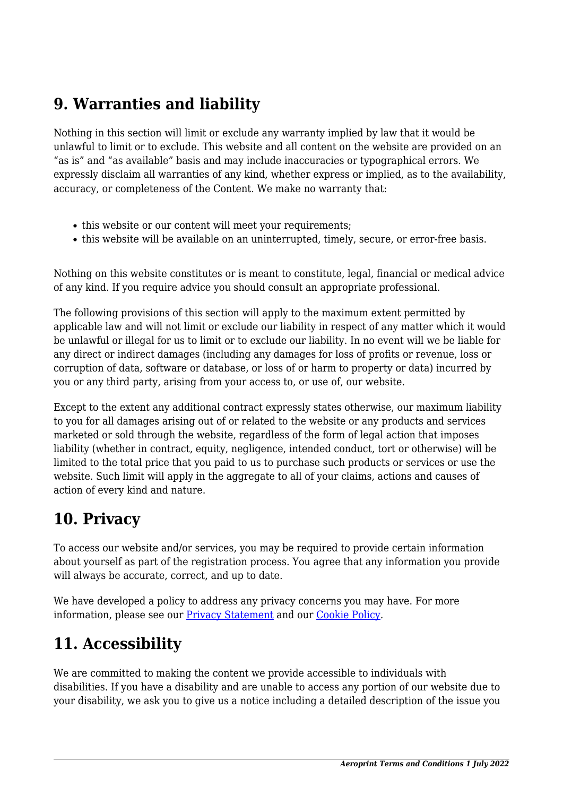## **9. Warranties and liability**

Nothing in this section will limit or exclude any warranty implied by law that it would be unlawful to limit or to exclude. This website and all content on the website are provided on an "as is" and "as available" basis and may include inaccuracies or typographical errors. We expressly disclaim all warranties of any kind, whether express or implied, as to the availability, accuracy, or completeness of the Content. We make no warranty that:

- this website or our content will meet your requirements;
- this website will be available on an uninterrupted, timely, secure, or error-free basis.

Nothing on this website constitutes or is meant to constitute, legal, financial or medical advice of any kind. If you require advice you should consult an appropriate professional.

The following provisions of this section will apply to the maximum extent permitted by applicable law and will not limit or exclude our liability in respect of any matter which it would be unlawful or illegal for us to limit or to exclude our liability. In no event will we be liable for any direct or indirect damages (including any damages for loss of profits or revenue, loss or corruption of data, software or database, or loss of or harm to property or data) incurred by you or any third party, arising from your access to, or use of, our website.

Except to the extent any additional contract expressly states otherwise, our maximum liability to you for all damages arising out of or related to the website or any products and services marketed or sold through the website, regardless of the form of legal action that imposes liability (whether in contract, equity, negligence, intended conduct, tort or otherwise) will be limited to the total price that you paid to us to purchase such products or services or use the website. Such limit will apply in the aggregate to all of your claims, actions and causes of action of every kind and nature.

## **10. Privacy**

To access our website and/or services, you may be required to provide certain information about yourself as part of the registration process. You agree that any information you provide will always be accurate, correct, and up to date.

We have developed a policy to address any privacy concerns you may have. For more information, please see our **Privacy Statement** and our [Cookie Policy](https://aeroprint.nl/cookie-policy-eu/).

# **11. Accessibility**

We are committed to making the content we provide accessible to individuals with disabilities. If you have a disability and are unable to access any portion of our website due to your disability, we ask you to give us a notice including a detailed description of the issue you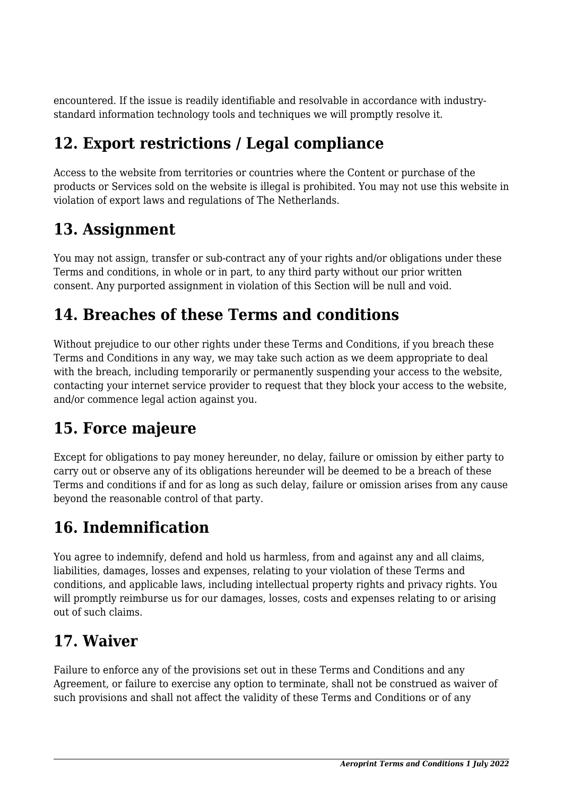encountered. If the issue is readily identifiable and resolvable in accordance with industrystandard information technology tools and techniques we will promptly resolve it.

# **12. Export restrictions / Legal compliance**

Access to the website from territories or countries where the Content or purchase of the products or Services sold on the website is illegal is prohibited. You may not use this website in violation of export laws and regulations of The Netherlands.

## **13. Assignment**

You may not assign, transfer or sub-contract any of your rights and/or obligations under these Terms and conditions, in whole or in part, to any third party without our prior written consent. Any purported assignment in violation of this Section will be null and void.

## **14. Breaches of these Terms and conditions**

Without prejudice to our other rights under these Terms and Conditions, if you breach these Terms and Conditions in any way, we may take such action as we deem appropriate to deal with the breach, including temporarily or permanently suspending your access to the website, contacting your internet service provider to request that they block your access to the website, and/or commence legal action against you.

# **15. Force majeure**

Except for obligations to pay money hereunder, no delay, failure or omission by either party to carry out or observe any of its obligations hereunder will be deemed to be a breach of these Terms and conditions if and for as long as such delay, failure or omission arises from any cause beyond the reasonable control of that party.

# **16. Indemnification**

You agree to indemnify, defend and hold us harmless, from and against any and all claims, liabilities, damages, losses and expenses, relating to your violation of these Terms and conditions, and applicable laws, including intellectual property rights and privacy rights. You will promptly reimburse us for our damages, losses, costs and expenses relating to or arising out of such claims.

## **17. Waiver**

Failure to enforce any of the provisions set out in these Terms and Conditions and any Agreement, or failure to exercise any option to terminate, shall not be construed as waiver of such provisions and shall not affect the validity of these Terms and Conditions or of any